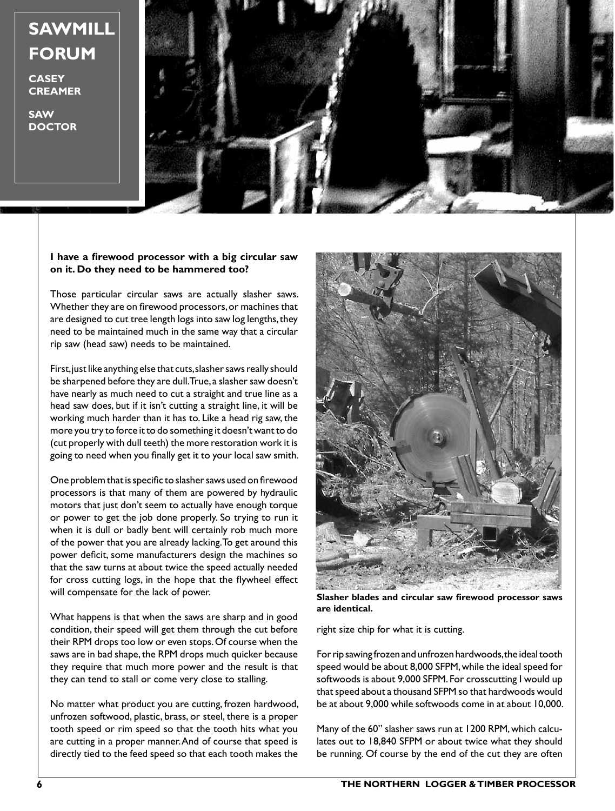## **SAWMILL FORUM**

**CASEY CREAMER**

**SAW DOCTOR**



## **I have a firewood processor with a big circular saw on it. Do they need to be hammered too?**

Those particular circular saws are actually slasher saws. Whether they are on firewood processors, or machines that are designed to cut tree length logs into saw log lengths, they need to be maintained much in the same way that a circular rip saw (head saw) needs to be maintained.

First, just like anything else that cuts, slasher saws really should be sharpened before they are dull. True, a slasher saw doesn't have nearly as much need to cut a straight and true line as a head saw does, but if it isn't cutting a straight line, it will be working much harder than it has to. Like a head rig saw, the more you try to force it to do something it doesn't want to do (cut properly with dull teeth) the more restoration work it is going to need when you finally get it to your local saw smith.

One problem that is specific to slasher saws used on firewood processors is that many of them are powered by hydraulic motors that just don't seem to actually have enough torque or power to get the job done properly. So trying to run it when it is dull or badly bent will certainly rob much more of the power that you are already lacking. To get around this power deficit, some manufacturers design the machines so that the saw turns at about twice the speed actually needed for cross cutting logs, in the hope that the flywheel effect will compensate for the lack of power.

What happens is that when the saws are sharp and in good condition, their speed will get them through the cut before their RPM drops too low or even stops. Of course when the saws are in bad shape, the RPM drops much quicker because they require that much more power and the result is that they can tend to stall or come very close to stalling.

No matter what product you are cutting, frozen hardwood, unfrozen softwood, plastic, brass, or steel, there is a proper tooth speed or rim speed so that the tooth hits what you are cutting in a proper manner. And of course that speed is directly tied to the feed speed so that each tooth makes the



**Slasher blades and circular saw firewood processor saws are identical.**

right size chip for what it is cutting.

For rip sawing frozen and unfrozen hardwoods, the ideal tooth speed would be about 8,000 SFPM, while the ideal speed for softwoods is about 9,000 SFPM. For crosscutting I would up that speed about a thousand SFPM so that hardwoods would be at about 9,000 while softwoods come in at about 10,000.

Many of the 60" slasher saws run at 1200 RPM, which calculates out to 18,840 SFPM or about twice what they should be running. Of course by the end of the cut they are often